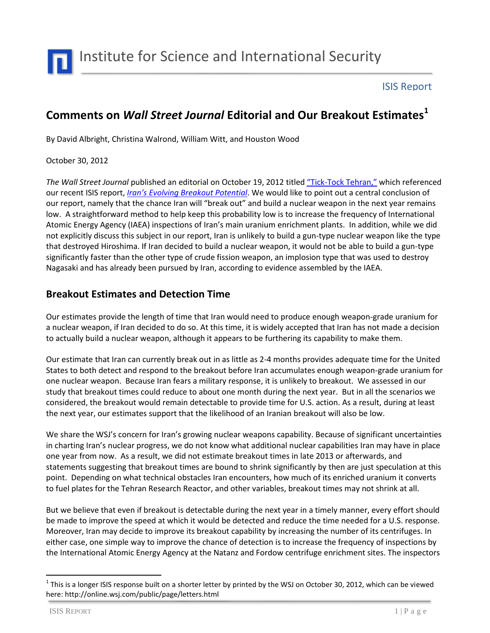

Institute for Science and International Security

### ISIS Report

# **Comments on** *Wall Street Journal* **Editorial and Our Breakout Estimates<sup>1</sup>**

By David Albright, Christina Walrond, William Witt, and Houston Wood

#### October 30, 2012

*The Wall Street Journal* published an editorial on October 19, 2012 titled "Tick[-Tock Tehran,](http://online.wsj.com/article/SB10000872396390443294904578048972974135576.html?mod=article-outset-box)" which referenced our recent ISIS report, *[Iran's Evolving Breakout Potential](http://isis-online.org/uploads/isis-reports/documents/Irans_Evolving_Breakout_Potential.pdf)*. We would like to point out a central conclusion of our report, namely that the chance Iran will "break out" and build a nuclear weapon in the next year remains low. A straightforward method to help keep this probability low is to increase the frequency of International Atomic Energy Agency (IAEA) inspections of Iran's main uranium enrichment plants. In addition, while we did not explicitly discuss this subject in our report, Iran is unlikely to build a gun-type nuclear weapon like the type that destroyed Hiroshima. If Iran decided to build a nuclear weapon, it would not be able to build a gun-type significantly faster than the other type of crude fission weapon, an implosion type that was used to destroy Nagasaki and has already been pursued by Iran, according to evidence assembled by the IAEA.

## **Breakout Estimates and Detection Time**

Our estimates provide the length of time that Iran would need to produce enough weapon-grade uranium for a nuclear weapon, if Iran decided to do so. At this time, it is widely accepted that Iran has not made a decision to actually build a nuclear weapon, although it appears to be furthering its capability to make them.

Our estimate that Iran can currently break out in as little as 2-4 months provides adequate time for the United States to both detect and respond to the breakout before Iran accumulates enough weapon-grade uranium for one nuclear weapon. Because Iran fears a military response, it is unlikely to breakout. We assessed in our study that breakout times could reduce to about one month during the next year. But in all the scenarios we considered, the breakout would remain detectable to provide time for U.S. action. As a result, during at least the next year, our estimates support that the likelihood of an Iranian breakout will also be low.

We share the WSJ's concern for Iran's growing nuclear weapons capability. Because of significant uncertainties in charting Iran's nuclear progress, we do not know what additional nuclear capabilities Iran may have in place one year from now. As a result, we did not estimate breakout times in late 2013 or afterwards, and statements suggesting that breakout times are bound to shrink significantly by then are just speculation at this point. Depending on what technical obstacles Iran encounters, how much of its enriched uranium it converts to fuel plates for the Tehran Research Reactor, and other variables, breakout times may not shrink at all.

But we believe that even if breakout is detectable during the next year in a timely manner, every effort should be made to improve the speed at which it would be detected and reduce the time needed for a U.S. response. Moreover, Iran may decide to improve its breakout capability by increasing the number of its centrifuges. In either case, one simple way to improve the chance of detection is to increase the frequency of inspections by the International Atomic Energy Agency at the Natanz and Fordow centrifuge enrichment sites. The inspectors

 $\ddot{\phantom{a}}$ 

 $^1$  This is a longer ISIS response built on a shorter letter by printed by the WSJ on October 30, 2012, which can be viewed here: http://online.wsj.com/public/page/letters.html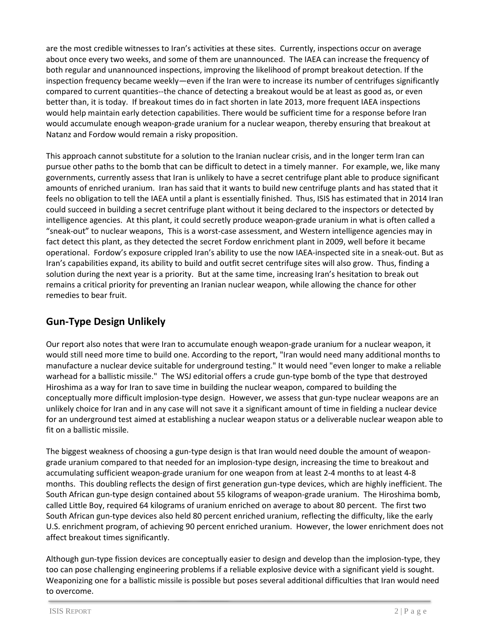are the most credible witnesses to Iran's activities at these sites. Currently, inspections occur on average about once every two weeks, and some of them are unannounced. The IAEA can increase the frequency of both regular and unannounced inspections, improving the likelihood of prompt breakout detection. If the inspection frequency became weekly—even if the Iran were to increase its number of centrifuges significantly compared to current quantities--the chance of detecting a breakout would be at least as good as, or even better than, it is today. If breakout times do in fact shorten in late 2013, more frequent IAEA inspections would help maintain early detection capabilities. There would be sufficient time for a response before Iran would accumulate enough weapon-grade uranium for a nuclear weapon, thereby ensuring that breakout at Natanz and Fordow would remain a risky proposition.

This approach cannot substitute for a solution to the Iranian nuclear crisis, and in the longer term Iran can pursue other paths to the bomb that can be difficult to detect in a timely manner. For example, we, like many governments, currently assess that Iran is unlikely to have a secret centrifuge plant able to produce significant amounts of enriched uranium. Iran has said that it wants to build new centrifuge plants and has stated that it feels no obligation to tell the IAEA until a plant is essentially finished. Thus, ISIS has estimated that in 2014 Iran could succeed in building a secret centrifuge plant without it being declared to the inspectors or detected by intelligence agencies. At this plant, it could secretly produce weapon-grade uranium in what is often called a "sneak-out" to nuclear weapons, This is a worst-case assessment, and Western intelligence agencies may in fact detect this plant, as they detected the secret Fordow enrichment plant in 2009, well before it became operational. Fordow's exposure crippled Iran's ability to use the now IAEA-inspected site in a sneak-out. But as Iran's capabilities expand, its ability to build and outfit secret centrifuge sites will also grow. Thus, finding a solution during the next year is a priority. But at the same time, increasing Iran's hesitation to break out remains a critical priority for preventing an Iranian nuclear weapon, while allowing the chance for other remedies to bear fruit.

## **Gun-Type Design Unlikely**

Our report also notes that were Iran to accumulate enough weapon-grade uranium for a nuclear weapon, it would still need more time to build one. According to the report, "Iran would need many additional months to manufacture a nuclear device suitable for underground testing." It would need "even longer to make a reliable warhead for a ballistic missile." The WSJ editorial offers a crude gun-type bomb of the type that destroyed Hiroshima as a way for Iran to save time in building the nuclear weapon, compared to building the conceptually more difficult implosion-type design. However, we assess that gun-type nuclear weapons are an unlikely choice for Iran and in any case will not save it a significant amount of time in fielding a nuclear device for an underground test aimed at establishing a nuclear weapon status or a deliverable nuclear weapon able to fit on a ballistic missile.

The biggest weakness of choosing a gun-type design is that Iran would need double the amount of weapongrade uranium compared to that needed for an implosion-type design, increasing the time to breakout and accumulating sufficient weapon-grade uranium for one weapon from at least 2-4 months to at least 4-8 months. This doubling reflects the design of first generation gun-type devices, which are highly inefficient. The South African gun-type design contained about 55 kilograms of weapon-grade uranium. The Hiroshima bomb, called Little Boy, required 64 kilograms of uranium enriched on average to about 80 percent. The first two South African gun-type devices also held 80 percent enriched uranium, reflecting the difficulty, like the early U.S. enrichment program, of achieving 90 percent enriched uranium. However, the lower enrichment does not affect breakout times significantly.

Although gun-type fission devices are conceptually easier to design and develop than the implosion-type, they too can pose challenging engineering problems if a reliable explosive device with a significant yield is sought. Weaponizing one for a ballistic missile is possible but poses several additional difficulties that Iran would need to overcome.